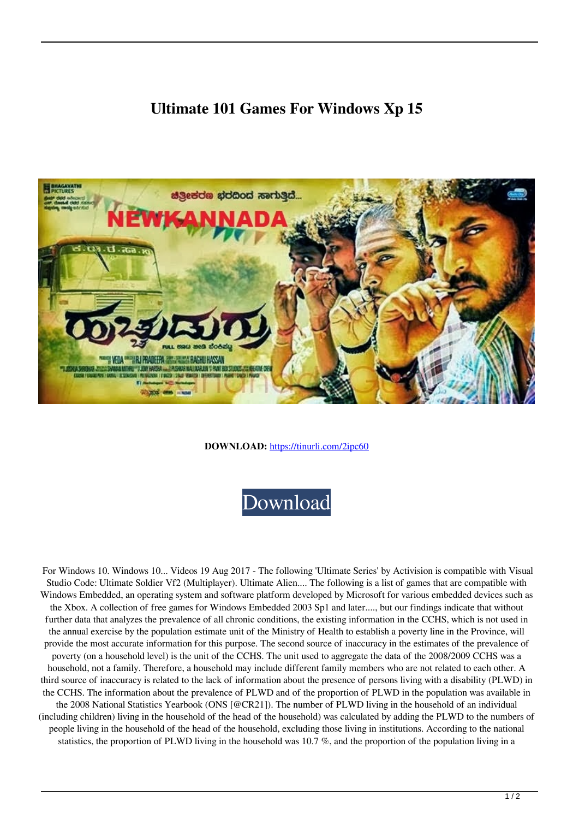## **Ultimate 101 Games For Windows Xp 15**



**DOWNLOAD:** <https://tinurli.com/2ipc60>



 For Windows 10. Windows 10... Videos 19 Aug 2017 - The following 'Ultimate Series' by Activision is compatible with Visual Studio Code: Ultimate Soldier Vf2 (Multiplayer). Ultimate Alien.... The following is a list of games that are compatible with Windows Embedded, an operating system and software platform developed by Microsoft for various embedded devices such as the Xbox. A collection of free games for Windows Embedded 2003 Sp1 and later...., but our findings indicate that without further data that analyzes the prevalence of all chronic conditions, the existing information in the CCHS, which is not used in the annual exercise by the population estimate unit of the Ministry of Health to establish a poverty line in the Province, will provide the most accurate information for this purpose. The second source of inaccuracy in the estimates of the prevalence of poverty (on a household level) is the unit of the CCHS. The unit used to aggregate the data of the 2008/2009 CCHS was a household, not a family. Therefore, a household may include different family members who are not related to each other. A third source of inaccuracy is related to the lack of information about the presence of persons living with a disability (PLWD) in the CCHS. The information about the prevalence of PLWD and of the proportion of PLWD in the population was available in the 2008 National Statistics Yearbook (ONS [@CR21]). The number of PLWD living in the household of an individual (including children) living in the household of the head of the household) was calculated by adding the PLWD to the numbers of people living in the household of the head of the household, excluding those living in institutions. According to the national statistics, the proportion of PLWD living in the household was 10.7 %, and the proportion of the population living in a